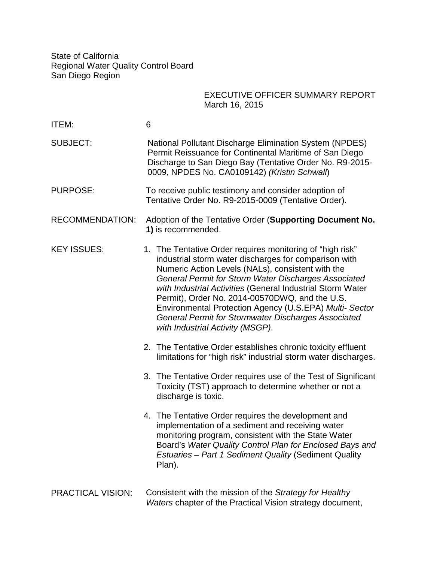State of California Regional Water Quality Control Board San Diego Region

## EXECUTIVE OFFICER SUMMARY REPORT March 16, 2015

| <b>ITEM:</b>             | 6                                                                                                                                                                                                                                                                                                                                                                                                                                                                                                            |
|--------------------------|--------------------------------------------------------------------------------------------------------------------------------------------------------------------------------------------------------------------------------------------------------------------------------------------------------------------------------------------------------------------------------------------------------------------------------------------------------------------------------------------------------------|
| <b>SUBJECT:</b>          | <b>National Pollutant Discharge Elimination System (NPDES)</b><br>Permit Reissuance for Continental Maritime of San Diego<br>Discharge to San Diego Bay (Tentative Order No. R9-2015-<br>0009, NPDES No. CA0109142) (Kristin Schwall)                                                                                                                                                                                                                                                                        |
| <b>PURPOSE:</b>          | To receive public testimony and consider adoption of<br>Tentative Order No. R9-2015-0009 (Tentative Order).                                                                                                                                                                                                                                                                                                                                                                                                  |
| <b>RECOMMENDATION:</b>   | Adoption of the Tentative Order (Supporting Document No.<br>1) is recommended.                                                                                                                                                                                                                                                                                                                                                                                                                               |
| <b>KEY ISSUES:</b>       | 1. The Tentative Order requires monitoring of "high risk"<br>industrial storm water discharges for comparison with<br>Numeric Action Levels (NALs), consistent with the<br>General Permit for Storm Water Discharges Associated<br>with Industrial Activities (General Industrial Storm Water<br>Permit), Order No. 2014-00570DWQ, and the U.S.<br>Environmental Protection Agency (U.S.EPA) Multi- Sector<br><b>General Permit for Stormwater Discharges Associated</b><br>with Industrial Activity (MSGP). |
|                          | 2. The Tentative Order establishes chronic toxicity effluent<br>limitations for "high risk" industrial storm water discharges.                                                                                                                                                                                                                                                                                                                                                                               |
|                          | 3. The Tentative Order requires use of the Test of Significant<br>Toxicity (TST) approach to determine whether or not a<br>discharge is toxic.                                                                                                                                                                                                                                                                                                                                                               |
|                          | 4. The Tentative Order requires the development and<br>implementation of a sediment and receiving water<br>monitoring program, consistent with the State Water<br>Board's Water Quality Control Plan for Enclosed Bays and<br><b>Estuaries - Part 1 Sediment Quality (Sediment Quality</b><br>Plan).                                                                                                                                                                                                         |
| <b>PRACTICAL VISION:</b> | Consistent with the mission of the Strategy for Healthy<br>Waters chapter of the Practical Vision strategy document,                                                                                                                                                                                                                                                                                                                                                                                         |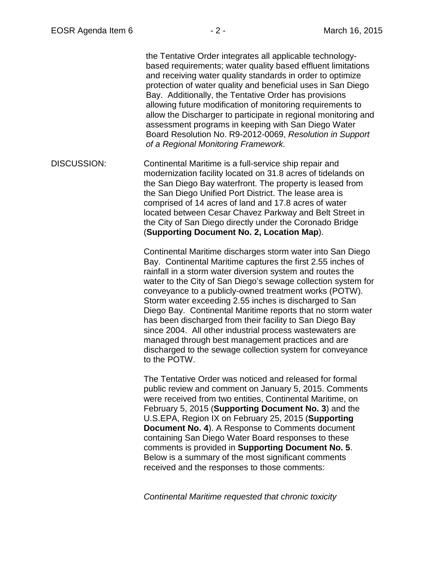the Tentative Order integrates all applicable technologybased requirements; water quality based effluent limitations and receiving water quality standards in order to optimize protection of water quality and beneficial uses in San Diego Bay. Additionally, the Tentative Order has provisions allowing future modification of monitoring requirements to allow the Discharger to participate in regional monitoring and assessment programs in keeping with San Diego Water Board Resolution No. R9-2012-0069, *Resolution in Support of a Regional Monitoring Framework.* 

DISCUSSION: Continental Maritime is a full-service ship repair and modernization facility located on 31.8 acres of tidelands on the San Diego Bay waterfront. The property is leased from the San Diego Unified Port District. The lease area is comprised of 14 acres of land and 17.8 acres of water located between Cesar Chavez Parkway and Belt Street in the City of San Diego directly under the Coronado Bridge (**Supporting Document No. 2, Location Map**).

> Continental Maritime discharges storm water into San Diego Bay. Continental Maritime captures the first 2.55 inches of rainfall in a storm water diversion system and routes the water to the City of San Diego's sewage collection system for conveyance to a publicly-owned treatment works (POTW). Storm water exceeding 2.55 inches is discharged to San Diego Bay. Continental Maritime reports that no storm water has been discharged from their facility to San Diego Bay since 2004. All other industrial process wastewaters are managed through best management practices and are discharged to the sewage collection system for conveyance to the POTW.

The Tentative Order was noticed and released for formal public review and comment on January 5, 2015. Comments were received from two entities, Continental Maritime, on February 5, 2015 (**Supporting Document No. 3**) and the U.S.EPA, Region IX on February 25, 2015 (**Supporting Document No. 4).** A Response to Comments document containing San Diego Water Board responses to these comments is provided in **Supporting Document No. 5**. Below is a summary of the most significant comments received and the responses to those comments:

*Continental Maritime requested that chronic toxicity*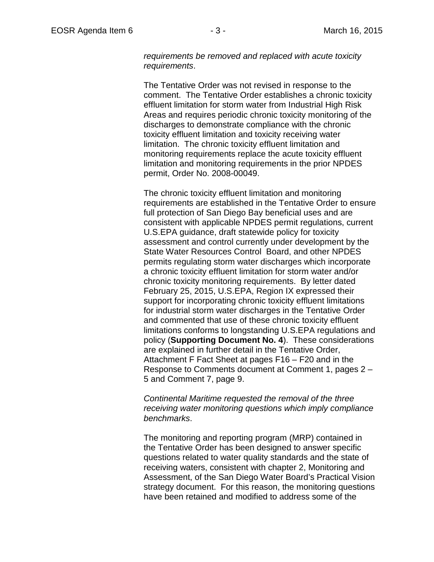*requirements be removed and replaced with acute toxicity requirements*.

The Tentative Order was not revised in response to the comment. The Tentative Order establishes a chronic toxicity effluent limitation for storm water from Industrial High Risk Areas and requires periodic chronic toxicity monitoring of the discharges to demonstrate compliance with the chronic toxicity effluent limitation and toxicity receiving water limitation. The chronic toxicity effluent limitation and monitoring requirements replace the acute toxicity effluent limitation and monitoring requirements in the prior NPDES permit, Order No. 2008-00049.

The chronic toxicity effluent limitation and monitoring requirements are established in the Tentative Order to ensure full protection of San Diego Bay beneficial uses and are consistent with applicable NPDES permit regulations, current U.S.EPA guidance, draft statewide policy for toxicity assessment and control currently under development by the State Water Resources Control Board, and other NPDES permits regulating storm water discharges which incorporate a chronic toxicity effluent limitation for storm water and/or chronic toxicity monitoring requirements. By letter dated February 25, 2015, U.S.EPA, Region IX expressed their support for incorporating chronic toxicity effluent limitations for industrial storm water discharges in the Tentative Order and commented that use of these chronic toxicity effluent limitations conforms to longstanding U.S.EPA regulations and policy (**Supporting Document No. 4**). These considerations are explained in further detail in the Tentative Order, Attachment F Fact Sheet at pages F16 – F20 and in the Response to Comments document at Comment 1, pages 2 – 5 and Comment 7, page 9.

## *Continental Maritime requested the removal of the three receiving water monitoring questions which imply compliance benchmarks*.

The monitoring and reporting program (MRP) contained in the Tentative Order has been designed to answer specific questions related to water quality standards and the state of receiving waters, consistent with chapter 2, Monitoring and Assessment, of the San Diego Water Board's Practical Vision strategy document. For this reason, the monitoring questions have been retained and modified to address some of the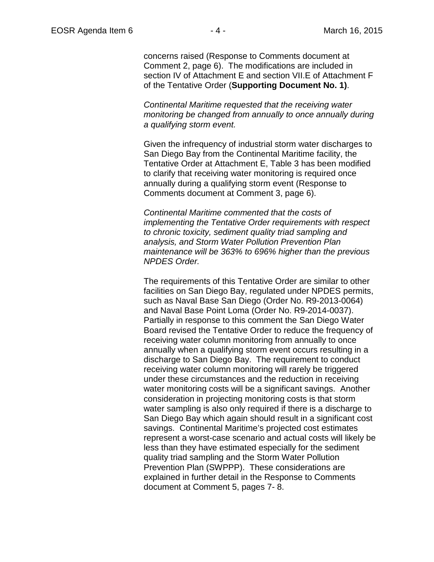concerns raised (Response to Comments document at Comment 2, page 6). The modifications are included in section IV of Attachment E and section VII.E of Attachment F of the Tentative Order (**Supporting Document No. 1)**.

*Continental Maritime requested that the receiving water monitoring be changed from annually to once annually during a qualifying storm event.* 

Given the infrequency of industrial storm water discharges to San Diego Bay from the Continental Maritime facility, the Tentative Order at Attachment E, Table 3 has been modified to clarify that receiving water monitoring is required once annually during a qualifying storm event (Response to Comments document at Comment 3, page 6).

*Continental Maritime commented that the costs of implementing the Tentative Order requirements with respect to chronic toxicity, sediment quality triad sampling and analysis, and Storm Water Pollution Prevention Plan maintenance will be 363% to 696% higher than the previous NPDES Order.*

The requirements of this Tentative Order are similar to other facilities on San Diego Bay, regulated under NPDES permits, such as Naval Base San Diego (Order No. R9-2013-0064) and Naval Base Point Loma (Order No. R9-2014-0037). Partially in response to this comment the San Diego Water Board revised the Tentative Order to reduce the frequency of receiving water column monitoring from annually to once annually when a qualifying storm event occurs resulting in a discharge to San Diego Bay. The requirement to conduct receiving water column monitoring will rarely be triggered under these circumstances and the reduction in receiving water monitoring costs will be a significant savings. Another consideration in projecting monitoring costs is that storm water sampling is also only required if there is a discharge to San Diego Bay which again should result in a significant cost savings. Continental Maritime's projected cost estimates represent a worst-case scenario and actual costs will likely be less than they have estimated especially for the sediment quality triad sampling and the Storm Water Pollution Prevention Plan (SWPPP). These considerations are explained in further detail in the Response to Comments document at Comment 5, pages 7- 8.